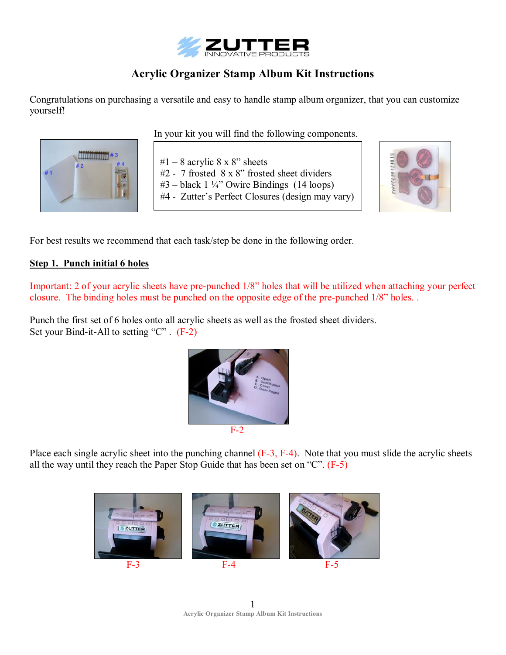

# **Acrylic Organizer Stamp Album Kit Instructions**

Congratulations on purchasing a versatile and easy to handle stamp album organizer, that you can customize yourself!



In your kit you will find the following components.

 $#1 - 8$  acrylic 8 x 8" sheets  $#2 - 7$  frosted  $8 \times 8$ " frosted sheet dividers  $#3$  – black 1  $\frac{1}{4}$ " Owire Bindings (14 loops) #4 - Zutter's Perfect Closures (design may vary)



For best results we recommend that each task/step be done in the following order.

## **Step 1. Punch initial 6 holes**

Important: 2 of your acrylic sheets have pre-punched 1/8" holes that will be utilized when attaching your perfect closure. The binding holes must be punched on the opposite edge of the pre-punched 1/8" holes. .

Punch the first set of 6 holes onto all acrylic sheets as well as the frosted sheet dividers. Set your Bind-it-All to setting  $°C$ . (F-2)



Place each single acrylic sheet into the punching channel (F-3, F-4). Note that you must slide the acrylic sheets all the way until they reach the Paper Stop Guide that has been set on  $C^{\prime\prime}$ . (F-5)



1 **Acrylic Organizer Stamp Album Kit Instructions**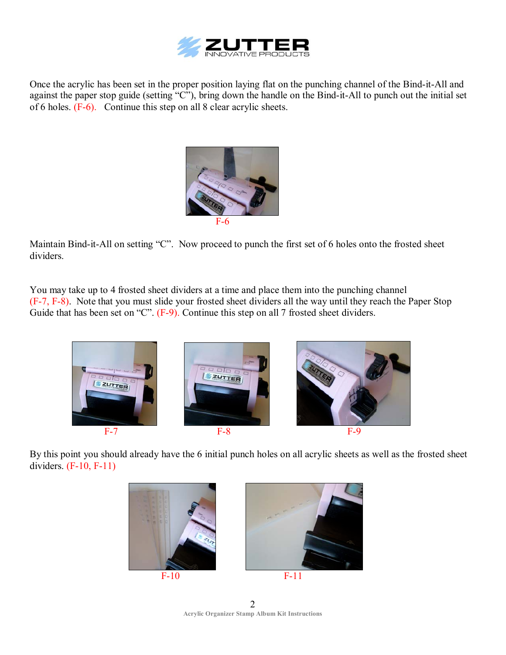

Once the acrylic has been set in the proper position laying flat on the punching channel of the Bind-it-All and against the paper stop guide (setting "C"), bring down the handle on the Bind-it-All to punch out the initial set of 6 holes. (F-6). Continue this step on all 8 clear acrylic sheets.



Maintain Bind-it-All on setting "C". Now proceed to punch the first set of 6 holes onto the frosted sheet dividers.

You may take up to 4 frosted sheet dividers at a time and place them into the punching channel (F-7, F-8). Note that you must slide your frosted sheet dividers all the way until they reach the Paper Stop Guide that has been set on  $C$ . (F-9). Continue this step on all 7 frosted sheet dividers.



By this point you should already have the 6 initial punch holes on all acrylic sheets as well as the frosted sheet dividers. (F-10, F-11)





2 **Acrylic Organizer Stamp Album Kit Instructions**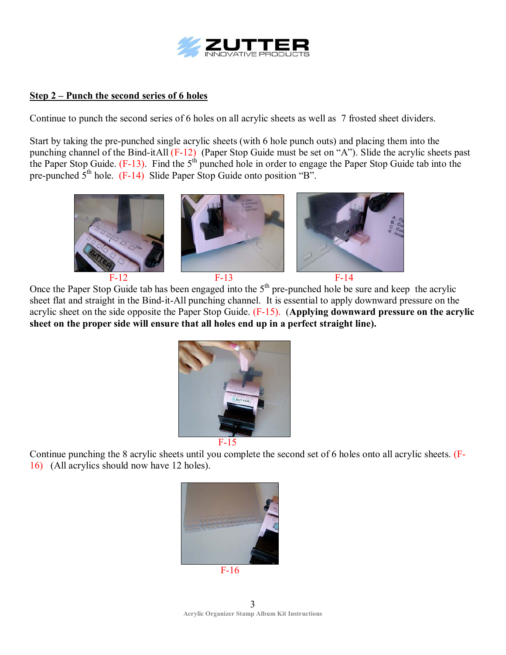

### **Step 2 – Punch the second series of 6 holes**

Continue to punch the second series of 6 holes on all acrylic sheets as well as 7 frosted sheet dividers.

Start by taking the pre-punched single acrylic sheets (with 6 hole punch outs) and placing them into the punching channel of the Bind-itAll  $(F-12)$  (Paper Stop Guide must be set on "A"). Slide the acrylic sheets past the Paper Stop Guide.  $(F-13)$ . Find the  $5<sup>th</sup>$  punched hole in order to engage the Paper Stop Guide tab into the pre-punched  $5<sup>th</sup>$  hole. (F-14) Slide Paper Stop Guide onto position  $B$ <sup>n</sup>.



Once the Paper Stop Guide tab has been engaged into the  $5<sup>th</sup>$  pre-punched hole be sure and keep the acrylic sheet flat and straight in the Bind-it-All punching channel. It is essential to apply downward pressure on the acrylic sheet on the side opposite the Paper Stop Guide. (F-15). (**Applying downward pressure on the acrylic sheet on the proper side will ensure that all holes end up in a perfect straight line).** 





Continue punching the 8 acrylic sheets until you complete the second set of 6 holes onto all acrylic sheets. (F-16) (All acrylics should now have 12 holes).

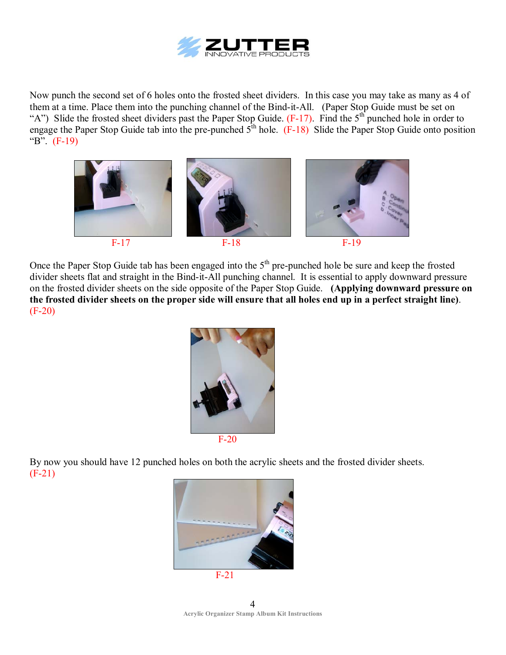

Now punch the second set of 6 holes onto the frosted sheet dividers. In this case you may take as many as 4 of them at a time. Place them into the punching channel of the Bind-it-All. (Paper Stop Guide must be set on "A") Slide the frosted sheet dividers past the Paper Stop Guide.  $(F-17)$ . Find the 5<sup>th</sup> punched hole in order to engage the Paper Stop Guide tab into the pre-punched  $5^{\text{th}}$  hole. (F-18) Slide the Paper Stop Guide onto position  $B^{\prime\prime}$ . (F-19)



Once the Paper Stop Guide tab has been engaged into the  $5<sup>th</sup>$  pre-punched hole be sure and keep the frosted divider sheets flat and straight in the Bind-it-All punching channel. It is essential to apply downward pressure on the frosted divider sheets on the side opposite of the Paper Stop Guide. **(Applying downward pressure on the frosted divider sheets on the proper side will ensure that all holes end up in a perfect straight line)**. (F-20)



By now you should have 12 punched holes on both the acrylic sheets and the frosted divider sheets. (F-21)



4 **Acrylic Organizer Stamp Album Kit Instructions**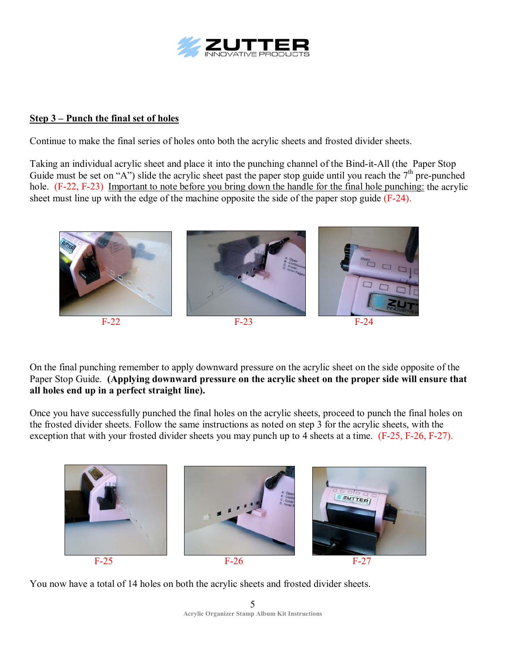

#### **<u>Step 3 – Punch the final set of holes</u>**

Continue to make the final series of holes onto both the acrylic sheets and frosted divider sheets.

Taking an individual acrylic sheet and place it into the punching channel of the Bind-it-All (the Paper Stop Guide must be set on "A") slide the acrylic sheet past the paper stop guide until you reach the  $7<sup>th</sup>$  pre-punched hole. (F-22, F-23) Important to note before you bring down the handle for the final hole punching: the acrylic sheet must line up with the edge of the machine opposite the side of the paper stop guide (F-24).



On the final punching remember to apply downward pressure on the acrylic sheet on the side opposite of the Paper Stop Guide. **(Applying downward pressure on the acrylic sheet on the proper side will ensure that all holes end up in a perfect straight line).**

Once you have successfully punched the final holes on the acrylic sheets, proceed to punch the final holes on the frosted divider sheets. Follow the same instructions as noted on step 3 for the acrylic sheets, with the exception that with your frosted divider sheets you may punch up to 4 sheets at a time. (F-25, F-26, F-27).



You now have a total of 14 holes on both the acrylic sheets and frosted divider sheets.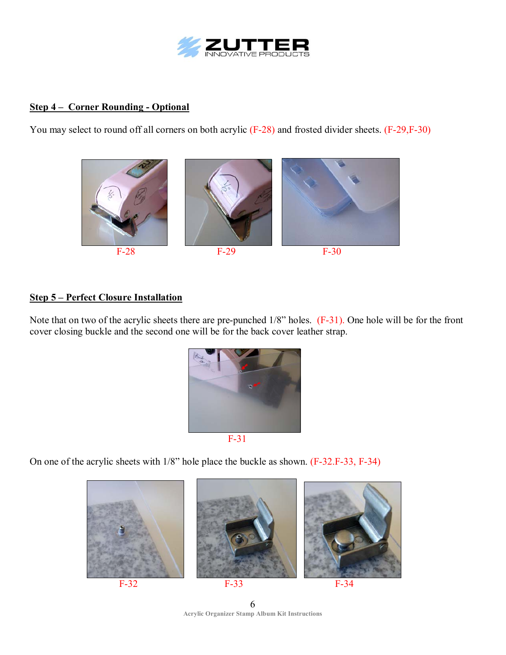

# **<u>Step 4 – Corner Rounding - Optional</u>**

You may select to round off all corners on both acrylic (F-28) and frosted divider sheets. (F-29,F-30)



### **<u>Step 5 – Perfect Closure Installation</u>**

Note that on two of the acrylic sheets there are pre-punched 1/8" holes. (F-31). One hole will be for the front cover closing buckle and the second one will be for the back cover leather strap.



On one of the acrylic sheets with 1/8" hole place the buckle as shown. (F-32.F-33, F-34)



6 **Acrylic Organizer Stamp Album Kit Instructions**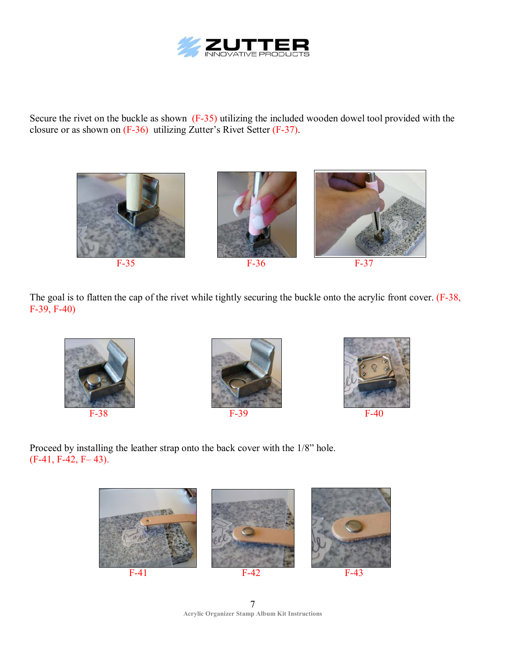

Secure the rivet on the buckle as shown (F-35) utilizing the included wooden dowel tool provided with the closure or as shown on  $(F-36)$  utilizing Zutter's Rivet Setter  $(F-37)$ .





The goal is to flatten the cap of the rivet while tightly securing the buckle onto the acrylic front cover. (F-38, F-39, F-40)









Proceed by installing the leather strap onto the back cover with the 1/8" hole.  $(F-41, F-42, F-43).$ 



7 **Acrylic Organizer Stamp Album Kit Instructions**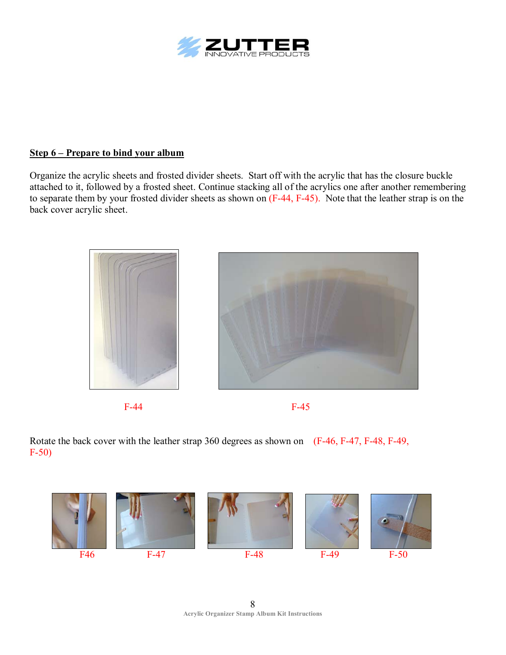

### **<u>Step 6 – Prepare to bind your album</u>**

Organize the acrylic sheets and frosted divider sheets. Start off with the acrylic that has the closure buckle attached to it, followed by a frosted sheet. Continue stacking all of the acrylics one after another remembering to separate them by your frosted divider sheets as shown on (F-44, F-45). Note that the leather strap is on the back cover acrylic sheet.







Rotate the back cover with the leather strap 360 degrees as shown on (F-46, F-47, F-48, F-49, F-50)